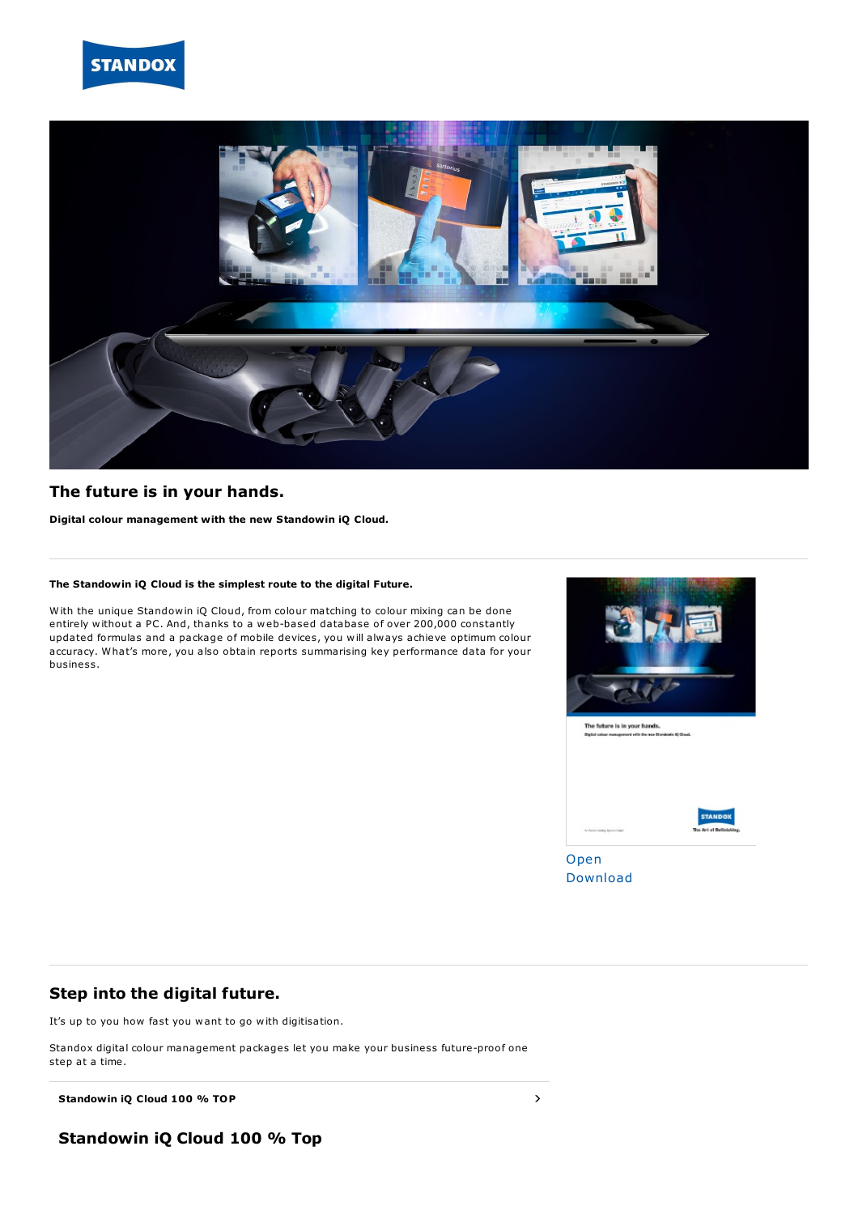



### **The future is in your hands.**

**Digital colour management with the new Standowin iQ Cloud.**

#### **The Standowin iQ Cloud is the simplest route to the digital Future.**

With the unique Standowin iQ Cloud, from colour matching to colour mixing can be done entirely without a PC. And, thanks to a web-based database of over 200,000 constantly updated formulas and a package of mobile devices, you will always achieve optimum colour accuracy. What's more, you also obtain reports summarising key performance data for your business.



The future is in your hands.



[Open](https://flipbook.axalta.com/index.aspx?file=%252Fcontent%252Fdam%252FEMEA%252FStandox%252FHQ%252FPublic%252FDocuments%252FEnglish%252FColour+Tools1%252FAXG2543.010_SX_DCM_Brochure_Web_EN.pdf) [Download](http://localhost:4513/content/dam/EMEA/Standox/HQ/Public/Documents/English/Colour%20Tools1/AXG2543.010_SX_DCM_Brochure_Web_EN.pdf)

## **Step into the digital future.**

It's up to you how fast you want to go with digitisation.

Standox digital colour management packages let you make your business future-proof one step at a time.

**Standowin iQ** Cloud **100** % **TOP**  $\rightarrow$ 

**Standowin iQ Cloud 100 % Top**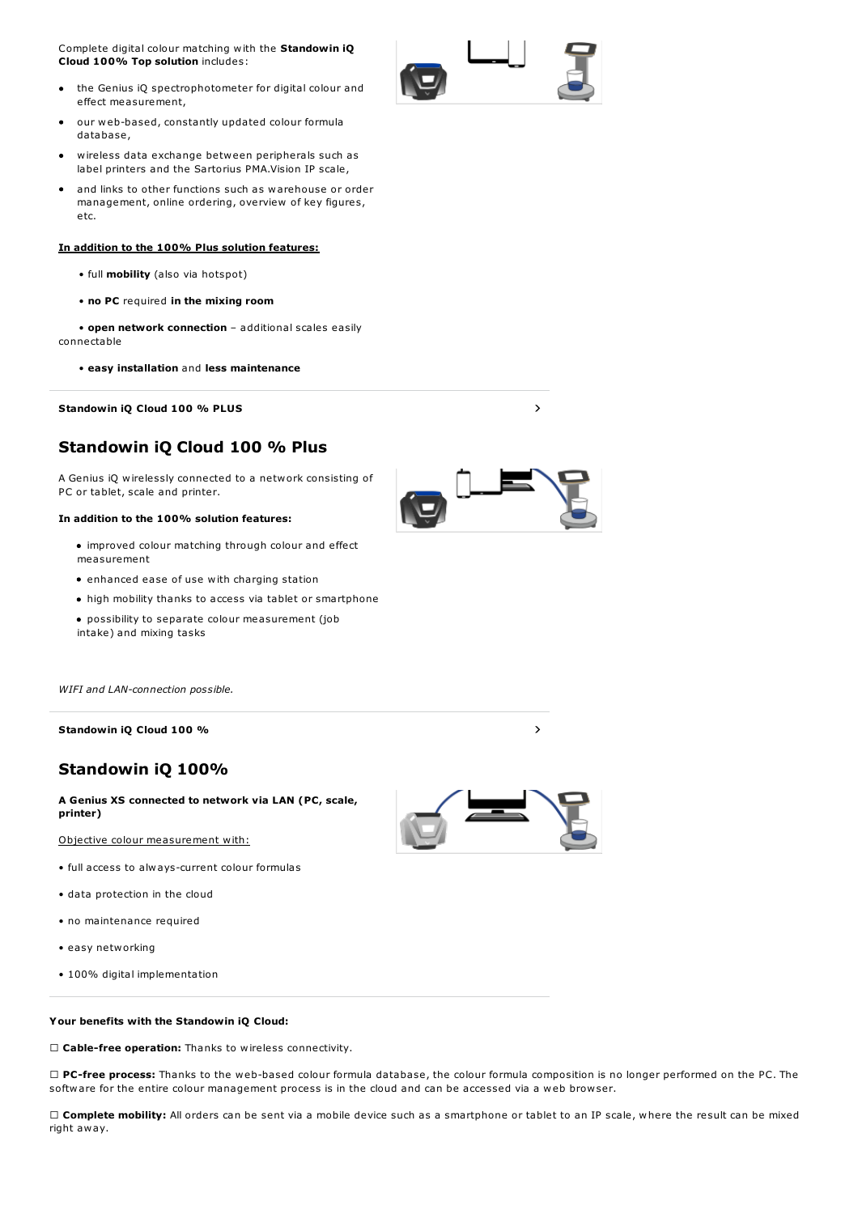Complete digital colour matching with the **Standowin iQ Cloud 100% Top solution** includes:

- the Genius iQ spectrophotometer for digital colour and effect measurement,
- our web-based, constantly updated colour formula database,
- wireless data exchange between peripherals such as label printers and the Sartorius PMA.Vision IP scale,
- and links to other functions such as warehouse or order management, online ordering, overview of key figures, etc.

#### **In addition to the 100% Plus solution features:**

- full **mobility** (also via hotspot)
- **no PC** required **in the mixing room**

• **open network connection** – additional scales easily connectable

• **easy installation** and **less maintenance**

**Standowin iQ Cloud 100 % PLUS** #

# **Standowin iQ Cloud 100 % Plus**

A Genius iQ wirelessly connected to a network consisting of PC or tablet, scale and printer.

#### **In addition to the 100% solution features:**

- improved colour matching through colour and effect measurement
- enhanced ease of use with charging station
- high mobility thanks to access via tablet or smartphone
- possibility to separate colour measurement (job intake) and mixing tasks

*WIFI and LAN-connection possible.*

**Standowin iQ Cloud 100 %** #

## **Standowin iQ 100%**

**A Genius XS connected to network via LAN (PC, scale, printer)**

Objective colour measurement with:

- full access to always-current colour formulas
- data protection in the cloud
- no maintenance required
- easy networking
- 100% digital implementation

#### **Your benefits with the Standowin iQ Cloud:**

**Cable-free operation:** Thanks to wireless connectivity.

 **PC-free process:** Thanks to the web-based colour formula database, the colour formula composition is no longer performed on the PC. The software for the entire colour management process is in the cloud and can be accessed via a web browser.

 **Complete mobility:** All orders can be sent via a mobile device such as a smartphone or tablet to an IP scale, where the result can be mixed right away.